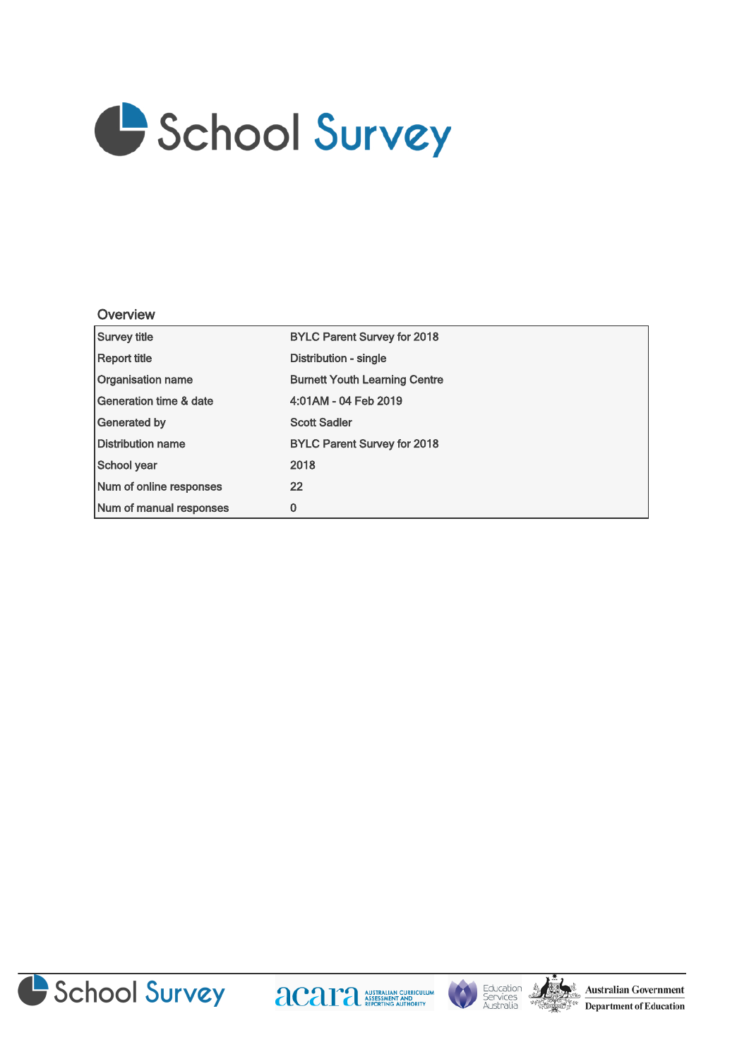

## **Overview**

| Survey title             | <b>BYLC Parent Survey for 2018</b>   |
|--------------------------|--------------------------------------|
| Report title             | Distribution - single                |
| <b>Organisation name</b> | <b>Burnett Youth Learning Centre</b> |
| Generation time & date   | 4:01AM - 04 Feb 2019                 |
| Generated by             | <b>Scott Sadler</b>                  |
| <b>Distribution name</b> | <b>BYLC Parent Survey for 2018</b>   |
| School year              | 2018                                 |
| Num of online responses  | 22                                   |
| Num of manual responses  | 0                                    |







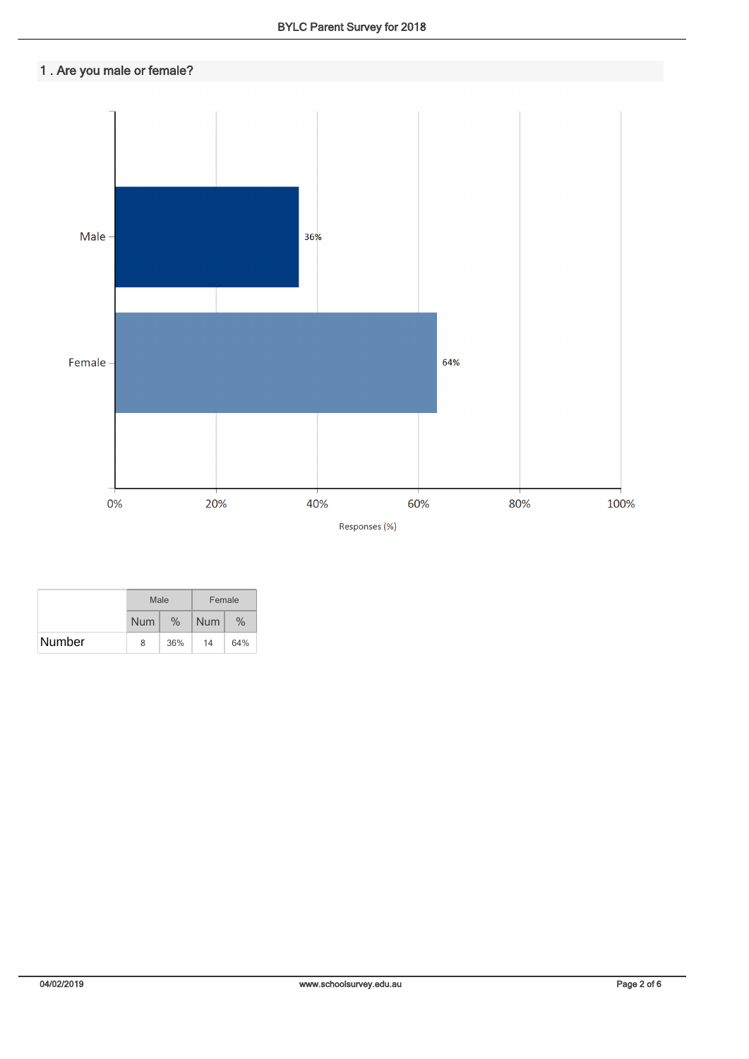## 1 . Are you male or female?



|        | Male       |      | Female     |      |  |
|--------|------------|------|------------|------|--|
|        | <b>Num</b> | $\%$ | <b>Num</b> | $\%$ |  |
| Number | 8          | 36%  | 14         | 64%  |  |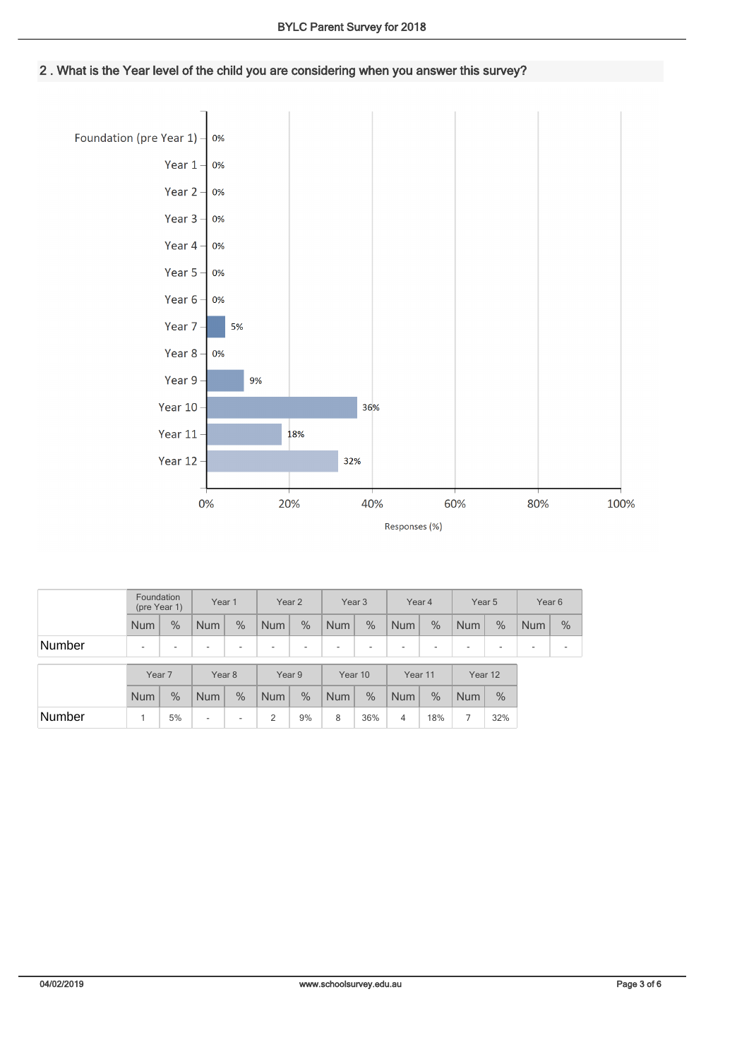2 . What is the Year level of the child you are considering when you answer this survey?



|        | Foundation<br>(pre Year 1) |      | Year 1                   |                          | Year 2                   |      | Year 3                   |      | Year 4                   |      | Year <sub>5</sub> |                          | Year 6                   |      |
|--------|----------------------------|------|--------------------------|--------------------------|--------------------------|------|--------------------------|------|--------------------------|------|-------------------|--------------------------|--------------------------|------|
|        | <b>Num</b>                 | $\%$ | <b>Num</b>               | $\%$                     | <b>Num</b>               | $\%$ | <b>Num</b>               | $\%$ | <b>Num</b>               | $\%$ | <b>Num</b>        | $\%$                     | <b>Num</b>               | $\%$ |
| Number | $\overline{\phantom{a}}$   |      | ٠                        | ۰                        | $\overline{\phantom{a}}$ | -    | $\overline{\phantom{a}}$ | ۰    | $\overline{\phantom{a}}$ | ۰    | ٠                 | $\overline{\phantom{a}}$ | $\overline{\phantom{a}}$ |      |
|        | Year <sub>7</sub>          |      | Year 8                   |                          | Year 9                   |      | Year 10                  |      | Year 11                  |      | Year 12           |                          |                          |      |
|        | <b>Num</b>                 | $\%$ | <b>Num</b>               | $\%$                     | <b>Num</b>               | $\%$ | <b>Num</b>               | $\%$ | <b>Num</b>               | $\%$ | <b>Num</b>        | $\%$                     |                          |      |
| Number |                            | 5%   | $\overline{\phantom{a}}$ | $\overline{\phantom{a}}$ | 2                        | 9%   | 8                        | 36%  | 4                        | 18%  | 7                 | 32%                      |                          |      |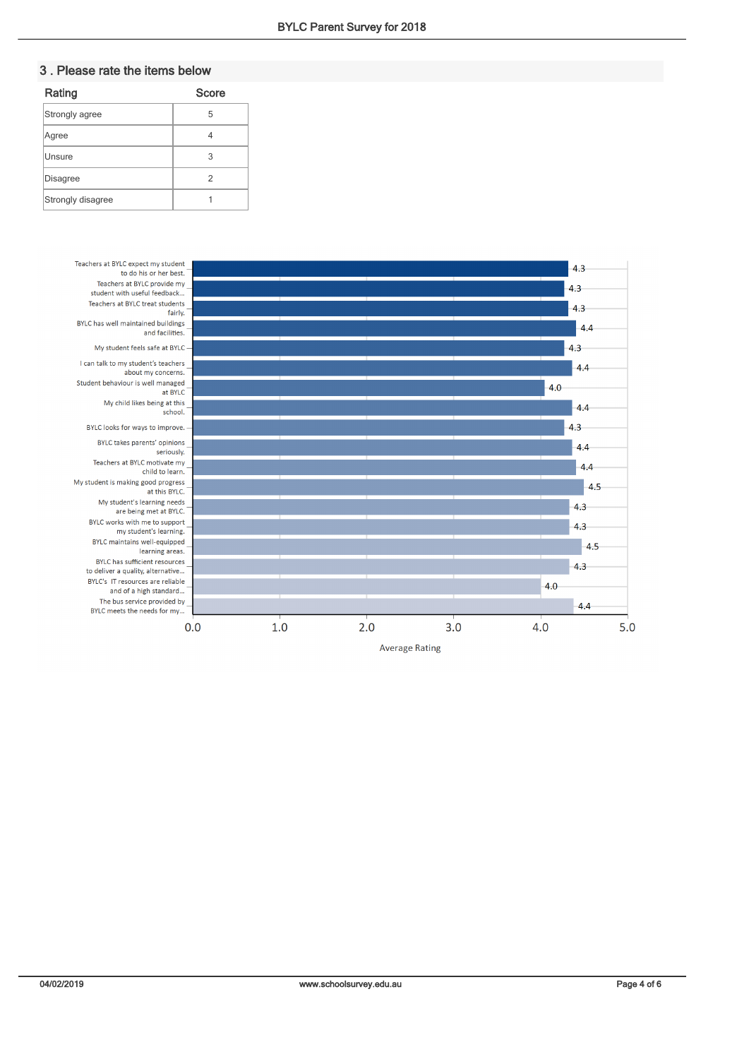## 3 . Please rate the items below

| Rating            | <b>Score</b> |
|-------------------|--------------|
| Strongly agree    | 5            |
| Agree             |              |
| Unsure            | 3            |
| <b>Disagree</b>   | 2            |
| Strongly disagree |              |

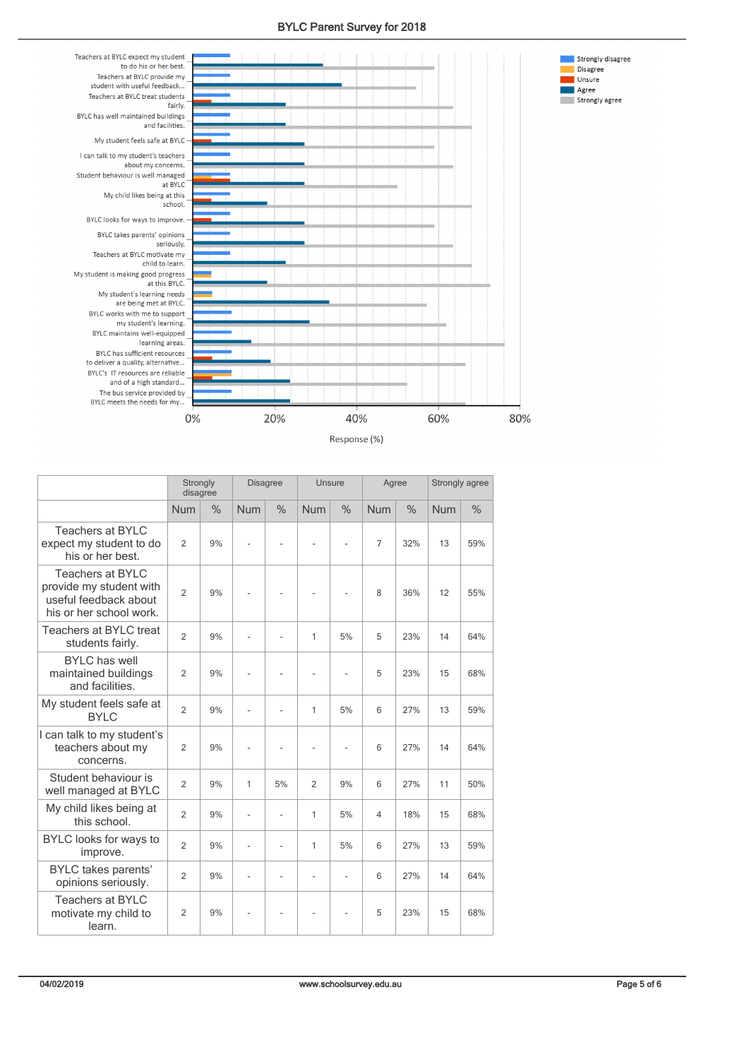



| Response (%) |  |
|--------------|--|
|--------------|--|

|                                                                                                        | Strongly<br>disagree |      | <b>Disagree</b> |                | Unsure         |               | Agree          |               | Strongly agree |      |
|--------------------------------------------------------------------------------------------------------|----------------------|------|-----------------|----------------|----------------|---------------|----------------|---------------|----------------|------|
|                                                                                                        | <b>Num</b>           | $\%$ | <b>Num</b>      | $\frac{0}{0}$  | <b>Num</b>     | $\%$          | <b>Num</b>     | $\frac{0}{0}$ | <b>Num</b>     | $\%$ |
| <b>Teachers at BYLC</b><br>expect my student to do<br>his or her best.                                 | $\overline{2}$       | 9%   | ä,              |                | L,             | Ĭ.            | $\overline{7}$ | 32%           | 13             | 59%  |
| <b>Teachers at BYLC</b><br>provide my student with<br>useful feedback about<br>his or her school work. | $\overline{2}$       | 9%   |                 |                |                |               | 8              | 36%           | 12             | 55%  |
| Teachers at BYLC treat<br>students fairly.                                                             | $\overline{2}$       | 9%   | ä,              | L.             | $\mathbf{1}$   | 5%            | 5              | 23%           | 14             | 64%  |
| <b>BYLC</b> has well<br>maintained buildings<br>and facilities.                                        | $\overline{2}$       | 9%   |                 |                | ä,             | Ĭ.            | 5              | 23%           | 15             | 68%  |
| My student feels safe at<br><b>BYLC</b>                                                                | $\overline{2}$       | 9%   | $\frac{1}{2}$   | $\overline{a}$ | $\mathbf{1}$   | 5%            | 6              | 27%           | 13             | 59%  |
| I can talk to my student's<br>teachers about my<br>concerns.                                           | $\overline{2}$       | 9%   | ä,              |                | ä,             | Ĭ.            | 6              | 27%           | 14             | 64%  |
| Student behaviour is<br>well managed at BYLC                                                           | $\overline{2}$       | 9%   | $\mathbf{1}$    | 5%             | $\overline{2}$ | 9%            | 6              | 27%           | 11             | 50%  |
| My child likes being at<br>this school.                                                                | $\overline{2}$       | 9%   | ä,              | $\overline{a}$ | 1              | 5%            | $\overline{4}$ | 18%           | 15             | 68%  |
| BYLC looks for ways to<br>improve.                                                                     | $\overline{2}$       | 9%   | ä,              | L.             | $\mathbf{1}$   | 5%            | 6              | 27%           | 13             | 59%  |
| BYLC takes parents'<br>opinions seriously.                                                             | $\overline{2}$       | 9%   | ä,              | $\overline{a}$ | L,             | $\frac{1}{2}$ | 6              | 27%           | 14             | 64%  |
| <b>Teachers at BYLC</b><br>motivate my child to<br>learn.                                              | $\overline{2}$       | 9%   |                 |                |                |               | 5              | 23%           | 15             | 68%  |